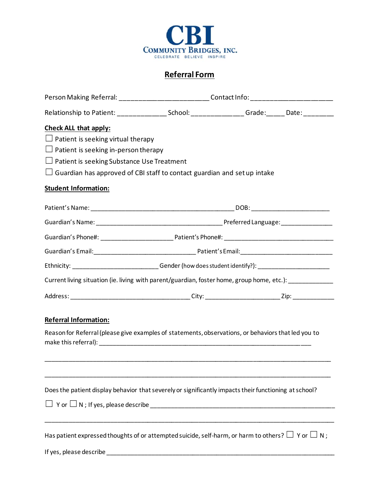

## **Referral Form**

|                                                                                                                          | Person Making Referral: ____________________________Contact Info: _______________ |  |  |
|--------------------------------------------------------------------------------------------------------------------------|-----------------------------------------------------------------------------------|--|--|
| Relationship to Patient: ___________________School: __________________Grade: _______Date: __________                     |                                                                                   |  |  |
| <b>Check ALL that apply:</b><br>$\Box$ Patient is seeking virtual therapy<br>$\Box$ Patient is seeking in-person therapy |                                                                                   |  |  |
| $\Box$ Patient is seeking Substance Use Treatment                                                                        |                                                                                   |  |  |
| $\Box$ Guardian has approved of CBI staff to contact guardian and set up intake                                          |                                                                                   |  |  |
| <b>Student Information:</b>                                                                                              |                                                                                   |  |  |
|                                                                                                                          |                                                                                   |  |  |
|                                                                                                                          |                                                                                   |  |  |
|                                                                                                                          |                                                                                   |  |  |
|                                                                                                                          |                                                                                   |  |  |
| Ethnicity: ___________________________Gender (how does student identify?): ________________________                      |                                                                                   |  |  |
| Current living situation (ie. living with parent/guardian, foster home, group home, etc.): ______________                |                                                                                   |  |  |
|                                                                                                                          |                                                                                   |  |  |
| <b>Referral Information:</b>                                                                                             |                                                                                   |  |  |
| Reason for Referral (please give examples of statements, observations, or behaviors that led you to                      |                                                                                   |  |  |
|                                                                                                                          |                                                                                   |  |  |
| Does the patient display behavior that severely or significantly impacts their functioning at school?                    |                                                                                   |  |  |
|                                                                                                                          |                                                                                   |  |  |
| Has patient expressed thoughts of or attempted suicide, self-harm, or harm to others? $\Box$ Y or $\Box$ N;              |                                                                                   |  |  |
| If yes, please describe                                                                                                  |                                                                                   |  |  |